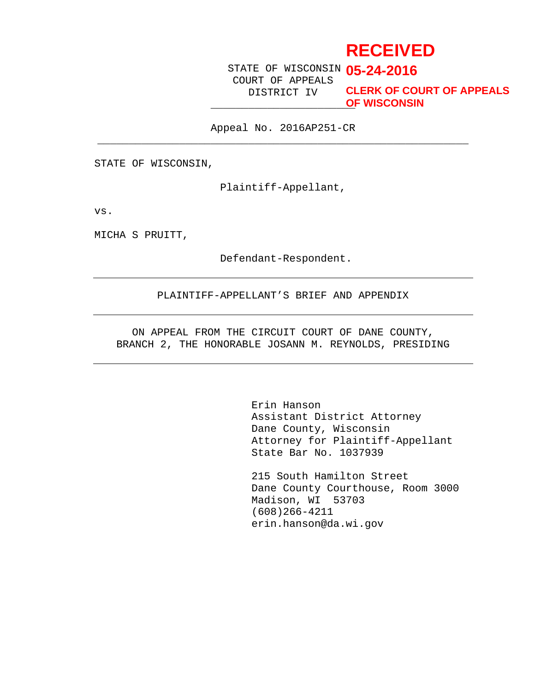# **RECEIVED**

STATE OF WISCONSIN **05-24-2016** COURT OF APPEALS DISTRICT IV

\_\_\_\_\_\_\_\_\_\_\_\_\_\_\_\_\_\_\_\_\_\_\_ **OF WISCONSINCLERK OF COURT OF APPEALS**

Appeal No. 2016AP251-CR  $\overline{\phantom{a}}$  , and the contribution of the contribution of  $\overline{\phantom{a}}$  ,  $\overline{\phantom{a}}$  ,  $\overline{\phantom{a}}$  ,  $\overline{\phantom{a}}$  ,  $\overline{\phantom{a}}$  ,  $\overline{\phantom{a}}$  ,  $\overline{\phantom{a}}$  ,  $\overline{\phantom{a}}$  ,  $\overline{\phantom{a}}$  ,  $\overline{\phantom{a}}$  ,  $\overline{\phantom{a}}$  ,  $\overline{\phantom{a$ 

STATE OF WISCONSIN,

Plaintiff-Appellant,

vs.

MICHA S PRUITT,

Defendant-Respondent.

#### PLAINTIFF-APPELLANT'S BRIEF AND APPENDIX

ON APPEAL FROM THE CIRCUIT COURT OF DANE COUNTY, BRANCH 2, THE HONORABLE JOSANN M. REYNOLDS, PRESIDING

> Erin Hanson Assistant District Attorney Dane County, Wisconsin Attorney for Plaintiff-Appellant State Bar No. 1037939

215 South Hamilton Street Dane County Courthouse, Room 3000 Madison, WI 53703 (608)266-4211 erin.hanson@da.wi.gov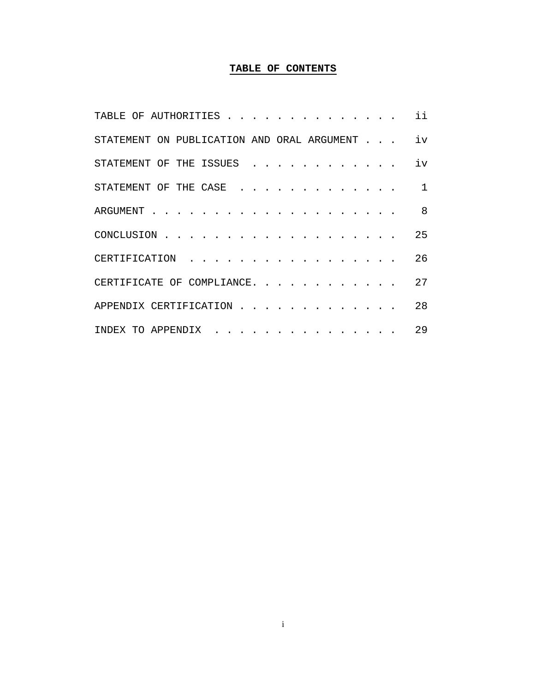# **TABLE OF CONTENTS**

| TABLE OF AUTHORITIES                       | ii             |
|--------------------------------------------|----------------|
| STATEMENT ON PUBLICATION AND ORAL ARGUMENT | iv             |
| STATEMENT OF THE ISSUES                    | iv             |
| STATEMENT OF THE CASE                      | $\overline{1}$ |
| ARGUMENT.                                  | 8              |
| CONCLUSION                                 | 25             |
| CERTIFICATION                              | 26             |
| CERTIFICATE OF COMPLIANCE.                 | 27             |
| APPENDIX CERTIFICATION.                    | 28             |
| INDEX TO APPENDIX                          | 29             |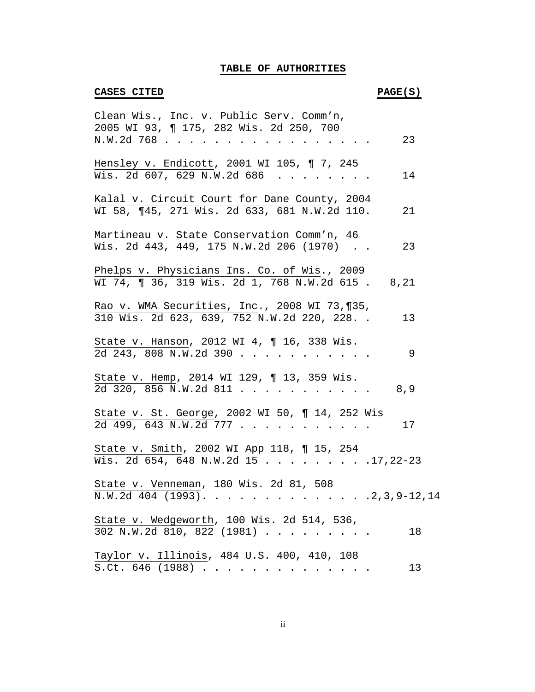# **TABLE OF AUTHORITIES**

# **CASES CITED PAGE(S)**

| Clean Wis., Inc. v. Public Serv. Comm'n,                                                            |
|-----------------------------------------------------------------------------------------------------|
| 2005 WI 93, ¶ 175, 282 Wis. 2d 250, 700<br>23<br>N.W.2d 768                                         |
| Hensley v. Endicott, 2001 WI 105, 17, 245<br>Wis. 2d 607, 629 N.W.2d 686<br>14                      |
| Kalal v. Circuit Court for Dane County, 2004<br>WI 58, ¶45, 271 Wis. 2d 633, 681 N.W.2d 110.<br>21  |
| Martineau v. State Conservation Comm'n, 46<br>Wis. 2d 443, 449, 175 N.W.2d 206 (1970)<br>23         |
| Phelps v. Physicians Ins. Co. of Wis., 2009<br>WI 74, ¶ 36, 319 Wis. 2d 1, 768 N.W.2d 615. 8,21     |
| Rao v. WMA Securities, Inc., 2008 WI 73, 135,<br>310 Wis. 2d 623, 639, 752 N.W.2d 220, 228. .<br>13 |
| State v. Hanson, 2012 WI 4, ¶ 16, 338 Wis.<br>2d 243, 808 N.W.2d 390<br>9                           |
| State v. Hemp, 2014 WI 129, ¶ 13, 359 Wis.<br>2d 320, 856 N.W.2d 811<br>8,9                         |
| State v. St. George, 2002 WI 50, 114, 252 Wis<br>2d 499, 643 N.W.2d 777<br>17                       |
| State v. Smith, 2002 WI App 118, 15, 254<br>Wis. 2d 654, 648 N.W.2d 15 17, 22-23                    |
| State v. Venneman, 180 Wis. 2d 81, 508                                                              |
| State v. Wedgeworth, 100 Wis. 2d 514, 536,<br>302 N.W.2d 810, 822 (1981)<br>18                      |
| Taylor v. Illinois, 484 U.S. 400, 410, 108<br>S.Ct. 646 (1988)<br>13                                |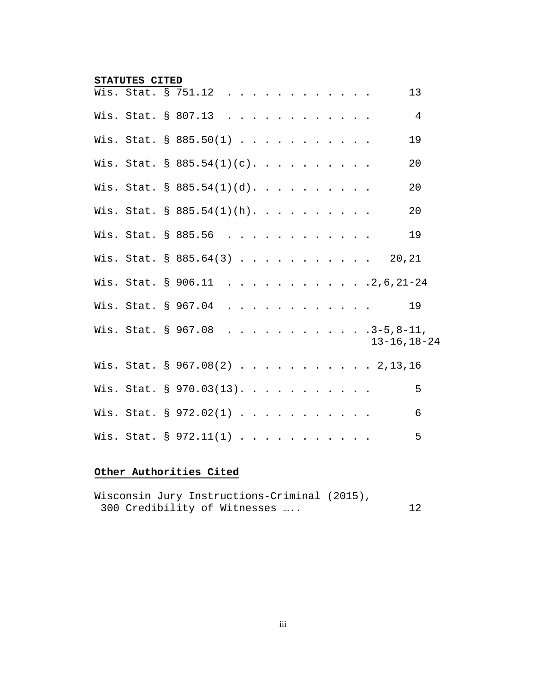#### **STATUTES CITED**

|  | Wis. Stat. § 751.12                    |  |  |  |  |  |                    | 13             |
|--|----------------------------------------|--|--|--|--|--|--------------------|----------------|
|  | Wis. Stat. § 807.13                    |  |  |  |  |  |                    | $\overline{4}$ |
|  | Wis. Stat. § 885.50(1)                 |  |  |  |  |  |                    | 19             |
|  | Wis. Stat. § 885.54(1)(c).             |  |  |  |  |  |                    | 20             |
|  | Wis. Stat. § 885.54(1)(d).             |  |  |  |  |  |                    | 20             |
|  | Wis. Stat. § 885.54(1)(h).             |  |  |  |  |  |                    | 20             |
|  | Wis. Stat. § 885.56                    |  |  |  |  |  |                    | 19             |
|  | Wis. Stat. $\frac{885.64(3)}{1}$ 20,21 |  |  |  |  |  |                    |                |
|  | Wis. Stat. § 906.11 2,6,21-24          |  |  |  |  |  |                    |                |
|  | Wis. Stat. § 967.04                    |  |  |  |  |  |                    | 19             |
|  | Wis. Stat. § 967.08 3-5,8-11,          |  |  |  |  |  | $13 - 16, 18 - 24$ |                |
|  | Wis. Stat. § 967.08(2) 2,13,16         |  |  |  |  |  |                    |                |
|  | Wis. Stat. § 970.03(13).               |  |  |  |  |  |                    | 5              |
|  | Wis. Stat. § 972.02(1)                 |  |  |  |  |  |                    | 6              |
|  | Wis. Stat. § 972.11(1)                 |  |  |  |  |  |                    | 5              |

# **Other Authorities Cited**

| Wisconsin Jury Instructions-Criminal (2015), |    |
|----------------------------------------------|----|
| 300 Credibility of Witnesses                 | 12 |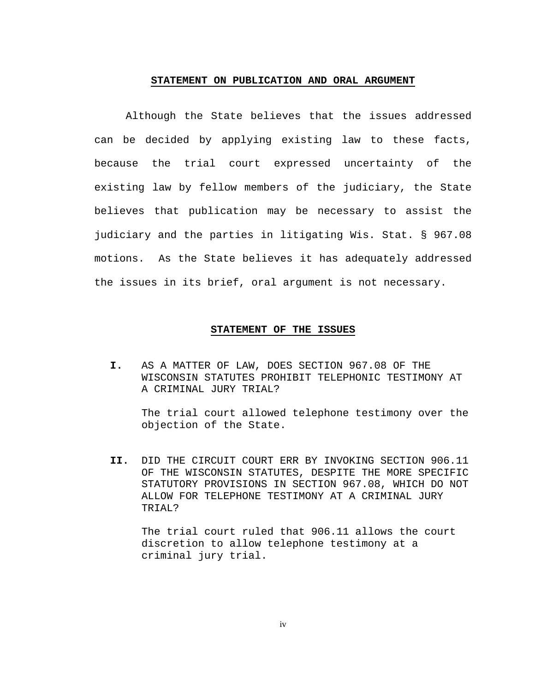#### **STATEMENT ON PUBLICATION AND ORAL ARGUMENT**

Although the State believes that the issues addressed can be decided by applying existing law to these facts, because the trial court expressed uncertainty of the existing law by fellow members of the judiciary, the State believes that publication may be necessary to assist the judiciary and the parties in litigating Wis. Stat. § 967.08 motions. As the State believes it has adequately addressed the issues in its brief, oral argument is not necessary.

#### **STATEMENT OF THE ISSUES**

**I.** AS A MATTER OF LAW, DOES SECTION 967.08 OF THE WISCONSIN STATUTES PROHIBIT TELEPHONIC TESTIMONY AT A CRIMINAL JURY TRIAL?

The trial court allowed telephone testimony over the objection of the State.

**II.** DID THE CIRCUIT COURT ERR BY INVOKING SECTION 906.11 OF THE WISCONSIN STATUTES, DESPITE THE MORE SPECIFIC STATUTORY PROVISIONS IN SECTION 967.08, WHICH DO NOT ALLOW FOR TELEPHONE TESTIMONY AT A CRIMINAL JURY TRIAL?

The trial court ruled that 906.11 allows the court discretion to allow telephone testimony at a criminal jury trial.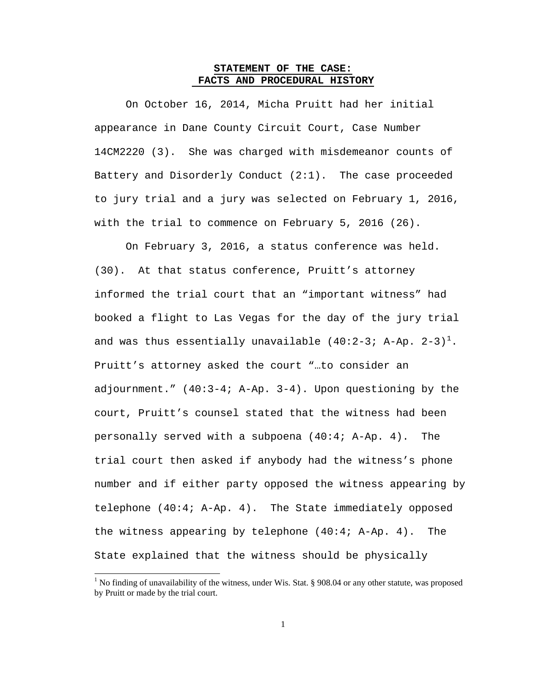### **STATEMENT OF THE CASE: FACTS AND PROCEDURAL HISTORY**

On October 16, 2014, Micha Pruitt had her initial appearance in Dane County Circuit Court, Case Number 14CM2220 (3). She was charged with misdemeanor counts of Battery and Disorderly Conduct (2:1). The case proceeded to jury trial and a jury was selected on February 1, 2016, with the trial to commence on February 5, 2016 (26).

On February 3, 2016, a status conference was held. (30). At that status conference, Pruitt's attorney informed the trial court that an "important witness" had booked a flight to Las Vegas for the day of the jury trial and was thus essentially unavailable (40:2-3; A-Ap. 2-3)<sup>[1](#page-5-0)</sup>. Pruitt's attorney asked the court "…to consider an adjournment." (40:3-4; A-Ap. 3-4). Upon questioning by the court, Pruitt's counsel stated that the witness had been personally served with a subpoena (40:4; A-Ap. 4). The trial court then asked if anybody had the witness's phone number and if either party opposed the witness appearing by telephone (40:4; A-Ap. 4). The State immediately opposed the witness appearing by telephone (40:4; A-Ap. 4). The State explained that the witness should be physically

<span id="page-5-0"></span><sup>&</sup>lt;sup>1</sup> No finding of unavailability of the witness, under Wis. Stat. § 908.04 or any other statute, was proposed by Pruitt or made by the trial court.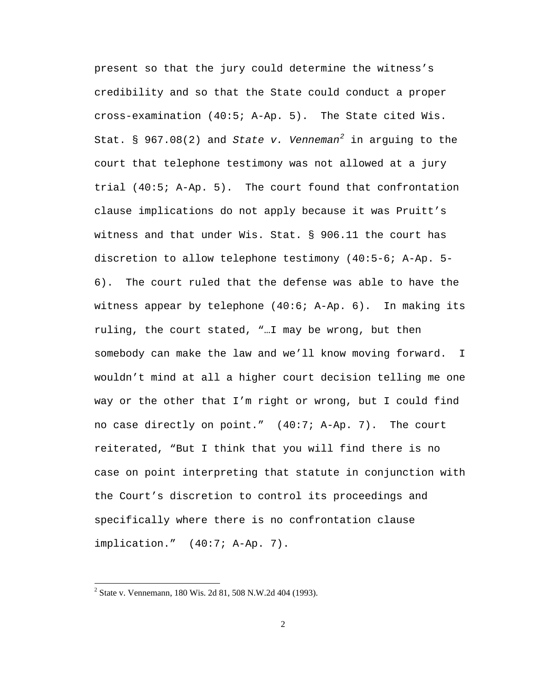present so that the jury could determine the witness's credibility and so that the State could conduct a proper cross-examination (40:5; A-Ap. 5). The State cited Wis. Stat. § 967.08(2) and *State v. Venneman[2](#page-6-0)* in arguing to the court that telephone testimony was not allowed at a jury trial (40:5; A-Ap. 5). The court found that confrontation clause implications do not apply because it was Pruitt's witness and that under Wis. Stat. § 906.11 the court has discretion to allow telephone testimony (40:5-6; A-Ap. 5- 6). The court ruled that the defense was able to have the witness appear by telephone (40:6; A-Ap. 6). In making its ruling, the court stated, "…I may be wrong, but then somebody can make the law and we'll know moving forward. I wouldn't mind at all a higher court decision telling me one way or the other that I'm right or wrong, but I could find no case directly on point." (40:7; A-Ap. 7). The court reiterated, "But I think that you will find there is no case on point interpreting that statute in conjunction with the Court's discretion to control its proceedings and specifically where there is no confrontation clause implication." (40:7; A-Ap. 7).

<span id="page-6-0"></span> <sup>2</sup> State v. Vennemann, 180 Wis. 2d 81, 508 N.W.2d 404 (1993).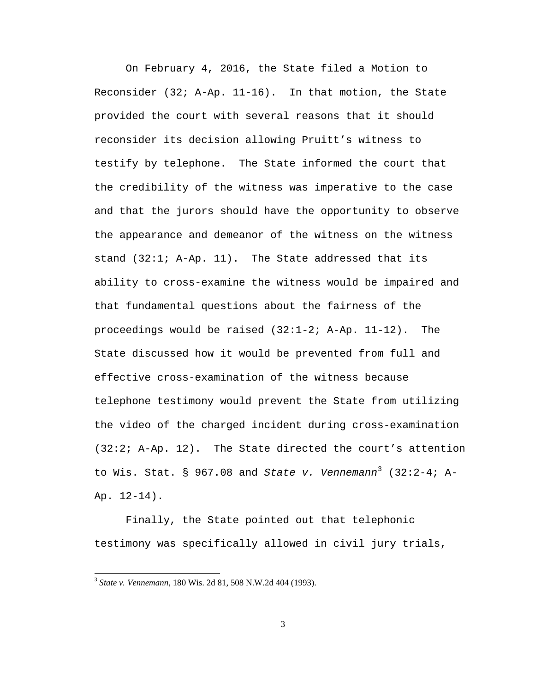On February 4, 2016, the State filed a Motion to Reconsider (32; A-Ap. 11-16). In that motion, the State provided the court with several reasons that it should reconsider its decision allowing Pruitt's witness to testify by telephone. The State informed the court that the credibility of the witness was imperative to the case and that the jurors should have the opportunity to observe the appearance and demeanor of the witness on the witness stand (32:1; A-Ap. 11). The State addressed that its ability to cross-examine the witness would be impaired and that fundamental questions about the fairness of the proceedings would be raised  $(32:1-2; A-Ap. 11-12)$ . The State discussed how it would be prevented from full and effective cross-examination of the witness because telephone testimony would prevent the State from utilizing the video of the charged incident during cross-examination (32:2; A-Ap. 12). The State directed the court's attention to Wis. Stat. § 967.08 and *State v. Vennemann*[3](#page-7-0) (32:2-4; A-Ap. 12-14).

Finally, the State pointed out that telephonic testimony was specifically allowed in civil jury trials,

<span id="page-7-0"></span> <sup>3</sup> *State v. Vennemann*, 180 Wis. 2d 81, 508 N.W.2d 404 (1993).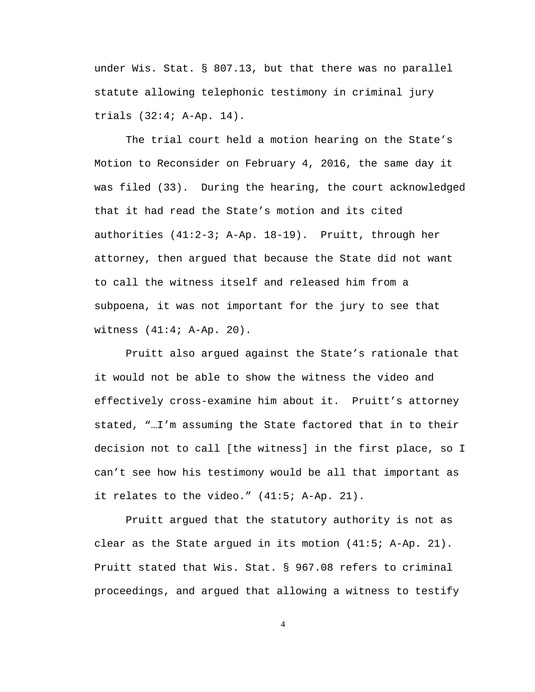under Wis. Stat. § 807.13, but that there was no parallel statute allowing telephonic testimony in criminal jury trials (32:4; A-Ap. 14).

The trial court held a motion hearing on the State's Motion to Reconsider on February 4, 2016, the same day it was filed (33). During the hearing, the court acknowledged that it had read the State's motion and its cited authorities (41:2-3; A-Ap. 18-19). Pruitt, through her attorney, then argued that because the State did not want to call the witness itself and released him from a subpoena, it was not important for the jury to see that witness (41:4; A-Ap. 20).

Pruitt also argued against the State's rationale that it would not be able to show the witness the video and effectively cross-examine him about it. Pruitt's attorney stated, "…I'm assuming the State factored that in to their decision not to call [the witness] in the first place, so I can't see how his testimony would be all that important as it relates to the video." (41:5; A-Ap. 21).

Pruitt argued that the statutory authority is not as clear as the State argued in its motion (41:5; A-Ap. 21). Pruitt stated that Wis. Stat. § 967.08 refers to criminal proceedings, and argued that allowing a witness to testify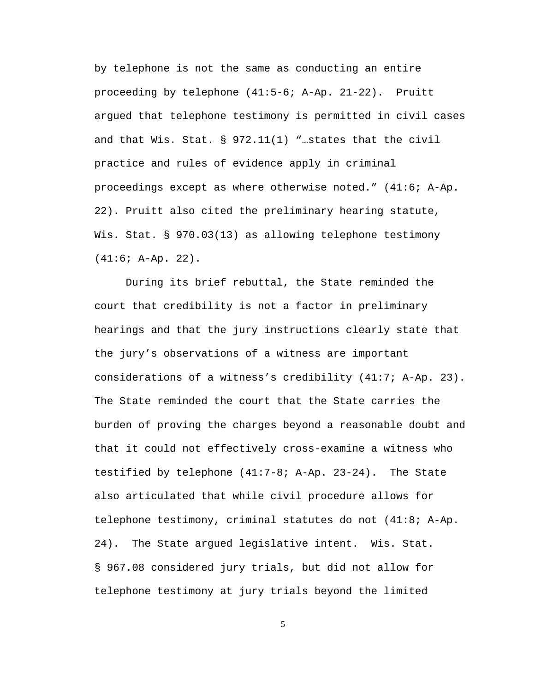by telephone is not the same as conducting an entire proceeding by telephone (41:5-6; A-Ap. 21-22). Pruitt argued that telephone testimony is permitted in civil cases and that Wis. Stat. § 972.11(1) "…states that the civil practice and rules of evidence apply in criminal proceedings except as where otherwise noted." (41:6; A-Ap. 22). Pruitt also cited the preliminary hearing statute, Wis. Stat. § 970.03(13) as allowing telephone testimony (41:6; A-Ap. 22).

During its brief rebuttal, the State reminded the court that credibility is not a factor in preliminary hearings and that the jury instructions clearly state that the jury's observations of a witness are important considerations of a witness's credibility (41:7; A-Ap. 23). The State reminded the court that the State carries the burden of proving the charges beyond a reasonable doubt and that it could not effectively cross-examine a witness who testified by telephone (41:7-8; A-Ap. 23-24). The State also articulated that while civil procedure allows for telephone testimony, criminal statutes do not (41:8; A-Ap. 24). The State argued legislative intent. Wis. Stat. § 967.08 considered jury trials, but did not allow for telephone testimony at jury trials beyond the limited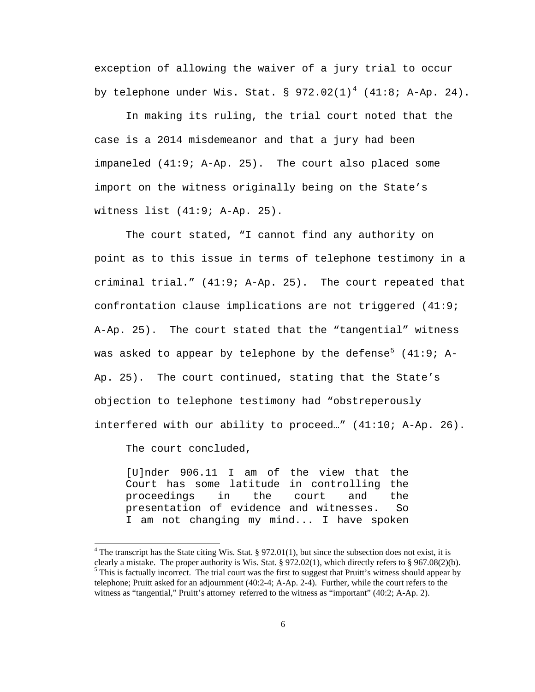exception of allowing the waiver of a jury trial to occur by telephone under Wis. Stat. §  $972.02(1)^4$  $972.02(1)^4$  (41:8; A-Ap. 24).

In making its ruling, the trial court noted that the case is a 2014 misdemeanor and that a jury had been impaneled (41:9; A-Ap. 25). The court also placed some import on the witness originally being on the State's witness list (41:9; A-Ap. 25).

The court stated, "I cannot find any authority on point as to this issue in terms of telephone testimony in a criminal trial." (41:9; A-Ap. 25). The court repeated that confrontation clause implications are not triggered (41:9; A-Ap. 25). The court stated that the "tangential" witness was asked to appear by telephone by the defense<sup>[5](#page-10-1)</sup> (41:9; A-Ap. 25). The court continued, stating that the State's objection to telephone testimony had "obstreperously interfered with our ability to proceed…" (41:10; A-Ap. 26).

The court concluded,

[U]nder 906.11 I am of the view that the Court has some latitude in controlling the<br>proceedings in the court and the proceedings in the court and the presentation of evidence and witnesses. So I am not changing my mind... I have spoken

<span id="page-10-1"></span><span id="page-10-0"></span><sup>&</sup>lt;sup>4</sup> The transcript has the State citing Wis. Stat. § 972.01(1), but since the subsection does not exist, it is clearly a mistake. The proper authority is Wis. Stat. § 972.02(1), which directly refers to § 967.08(2)(b).  $\delta$  This is factually incorrect. The trial court was the first to suggest that Pruitt's witness should appear by telephone; Pruitt asked for an adjournment (40:2-4; A-Ap. 2-4). Further, while the court refers to the witness as "tangential," Pruitt's attorney referred to the witness as "important" (40:2; A-Ap. 2).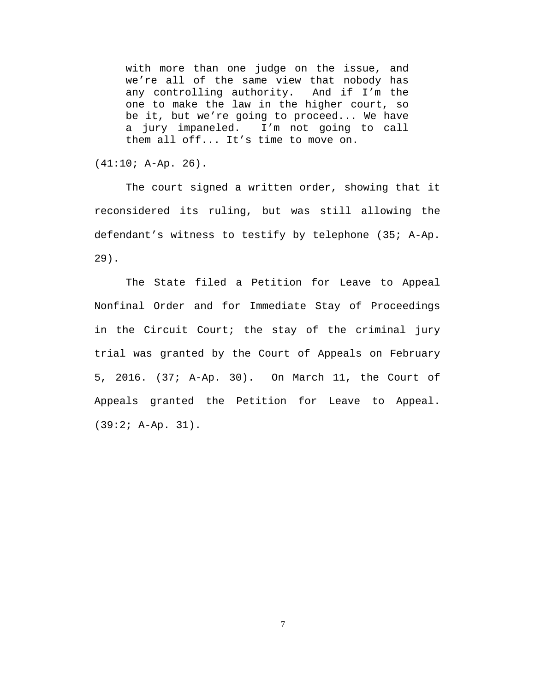with more than one judge on the issue, and we're all of the same view that nobody has<br>any controlling authority. And if I'm the any controlling authority. one to make the law in the higher court, so be it, but we're going to proceed... We have a jury impaneled. I'm not going to call them all off... It's time to move on.

 $(41:10; A-Ap. 26)$ .

The court signed a written order, showing that it reconsidered its ruling, but was still allowing the defendant's witness to testify by telephone (35; A-Ap. 29).

The State filed a Petition for Leave to Appeal Nonfinal Order and for Immediate Stay of Proceedings in the Circuit Court; the stay of the criminal jury trial was granted by the Court of Appeals on February 5, 2016. (37; A-Ap. 30). On March 11, the Court of Appeals granted the Petition for Leave to Appeal. (39:2; A-Ap. 31).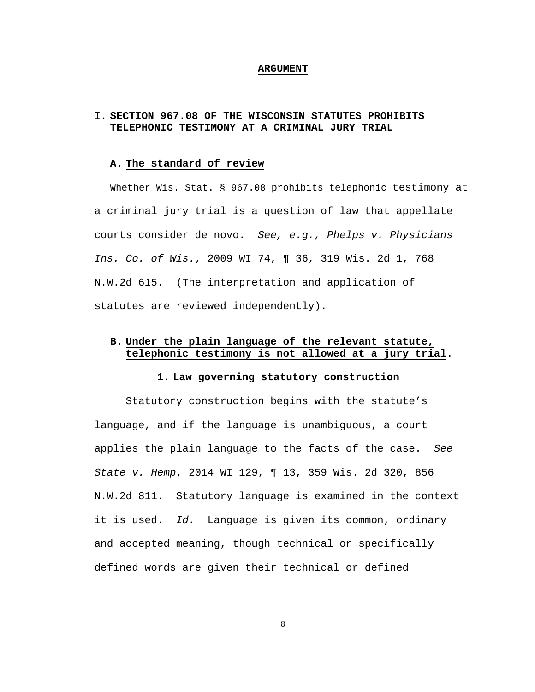#### **ARGUMENT**

# I. **SECTION 967.08 OF THE WISCONSIN STATUTES PROHIBITS TELEPHONIC TESTIMONY AT A CRIMINAL JURY TRIAL**

#### **A. The standard of review**

Whether Wis. Stat. § 967.08 prohibits telephonic testimony at a criminal jury trial is a question of law that appellate courts consider de novo. *See, e.g., Phelps v. Physicians Ins. Co. of Wis.*, 2009 WI 74, ¶ 36, 319 Wis. 2d 1, 768 N.W.2d 615. (The interpretation and application of statutes are reviewed independently).

# **B. Under the plain language of the relevant statute, telephonic testimony is not allowed at a jury trial.**

### **1. Law governing statutory construction**

Statutory construction begins with the statute's language, and if the language is unambiguous, a court applies the plain language to the facts of the case. *See State v. Hemp*, 2014 WI 129, ¶ 13, 359 Wis. 2d 320, 856 N.W.2d 811. Statutory language is examined in the context it is used. *Id.* Language is given its common, ordinary and accepted meaning, though technical or specifically defined words are given their technical or defined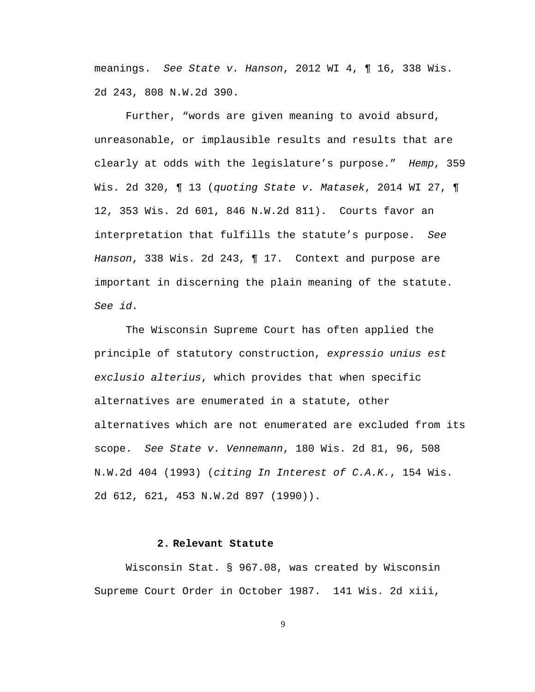meanings. *See State v. Hanson*, 2012 WI 4, ¶ 16, 338 Wis. 2d 243, 808 N.W.2d 390.

Further, "words are given meaning to avoid absurd, unreasonable, or implausible results and results that are clearly at odds with the legislature's purpose." *Hemp*, 359 Wis. 2d 320, ¶ 13 (*quoting State v. Matasek*, 2014 WI 27, ¶ 12, 353 Wis. 2d 601, 846 N.W.2d 811). Courts favor an interpretation that fulfills the statute's purpose. *See Hanson*, 338 Wis. 2d 243, ¶ 17. Context and purpose are important in discerning the plain meaning of the statute. *See id.*

The Wisconsin Supreme Court has often applied the principle of statutory construction, *expressio unius est exclusio alterius*, which provides that when specific alternatives are enumerated in a statute, other alternatives which are not enumerated are excluded from its scope. *See State v. Vennemann*, 180 Wis. 2d 81, 96, 508 N.W.2d 404 (1993) (*citing In Interest of C.A.K.*, 154 Wis. 2d 612, 621, 453 N.W.2d 897 (1990)).

### **2. Relevant Statute**

Wisconsin Stat. § 967.08, was created by Wisconsin Supreme Court Order in October 1987. 141 Wis. 2d xiii,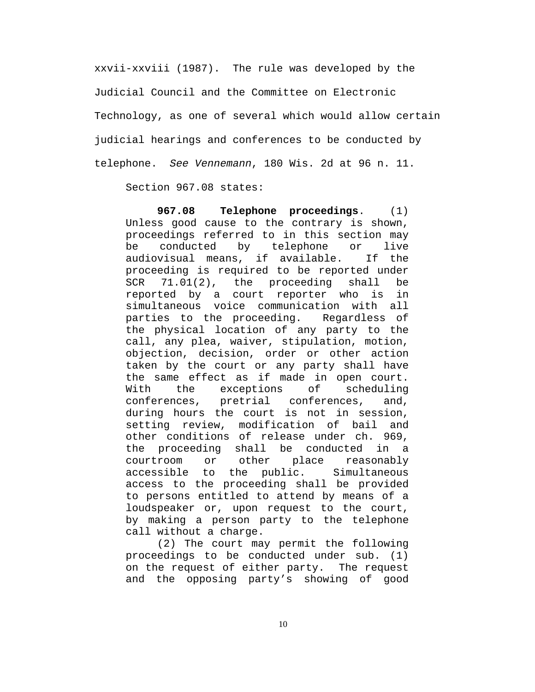xxvii-xxviii (1987). The rule was developed by the Judicial Council and the Committee on Electronic Technology, as one of several which would allow certain judicial hearings and conferences to be conducted by telephone. *See Vennemann*, 180 Wis. 2d at 96 n. 11.

Section 967.08 states:

**967.08 Telephone proceedings**. (1) Unless good cause to the contrary is shown, proceedings referred to in this section may be conducted by telephone or live audiovisual means, if available. If the proceeding is required to be reported under<br>SCR 71.01(2), the proceeding shall be 71.01(2), the proceeding shall be<br>ted by a court reporter who is in: reported by a court reporter who is simultaneous voice communication with all parties to the proceeding. Regardless of the physical location of any party to the call, any plea, waiver, stipulation, motion, objection, decision, order or other action taken by the court or any party shall have the same effect as if made in open court.<br>With the exceptions of scheduling With the exceptions<br>conferences, pretrial o pretrial conferences, and, during hours the court is not in session, setting review, modification of bail and other conditions of release under ch. 969, the proceeding shall be conducted in a<br>courtroom or other place reasonably or other place reasonably accessible to the public. Simultaneous access to the proceeding shall be provided to persons entitled to attend by means of a loudspeaker or, upon request to the court, by making a person party to the telephone call without a charge.

(2) The court may permit the following proceedings to be conducted under sub. (1) on the request of either party. The request and the opposing party's showing of good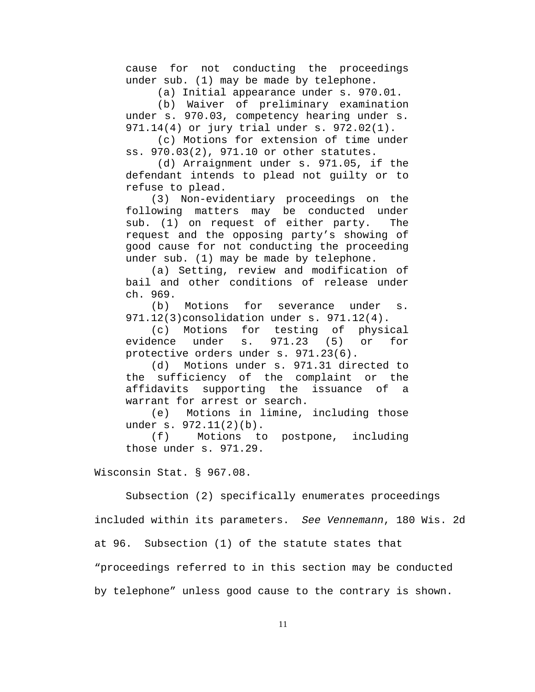cause for not conducting the proceedings under sub. (1) may be made by telephone.

(a) Initial appearance under s. 970.01.

(b) Waiver of preliminary examination under s. 970.03, competency hearing under s. 971.14(4) or jury trial under s. 972.02(1).

(c) Motions for extension of time under ss. 970.03(2), 971.10 or other statutes.

(d) Arraignment under s. 971.05, if the defendant intends to plead not guilty or to refuse to plead.

 (3) Non-evidentiary proceedings on the following matters may be conducted under sub. (1) on request of either party. The request and the opposing party's showing of good cause for not conducting the proceeding under sub. (1) may be made by telephone.

 (a) Setting, review and modification of bail and other conditions of release under ch. 969.

 (b) Motions for severance under s. 971.12(3)consolidation under s. 971.12(4).

 (c) Motions for testing of physical evidence under s. 971.23 (5) or for protective orders under s. 971.23(6).

 (d) Motions under s. 971.31 directed to the sufficiency of the complaint or the affidavits supporting the issuance of a warrant for arrest or search.

 (e) Motions in limine, including those under s. 972.11(2)(b).

 (f) Motions to postpone, including those under s. 971.29.

Wisconsin Stat. § 967.08.

Subsection (2) specifically enumerates proceedings

included within its parameters. *See Vennemann*, 180 Wis. 2d

at 96. Subsection (1) of the statute states that

"proceedings referred to in this section may be conducted

by telephone" unless good cause to the contrary is shown.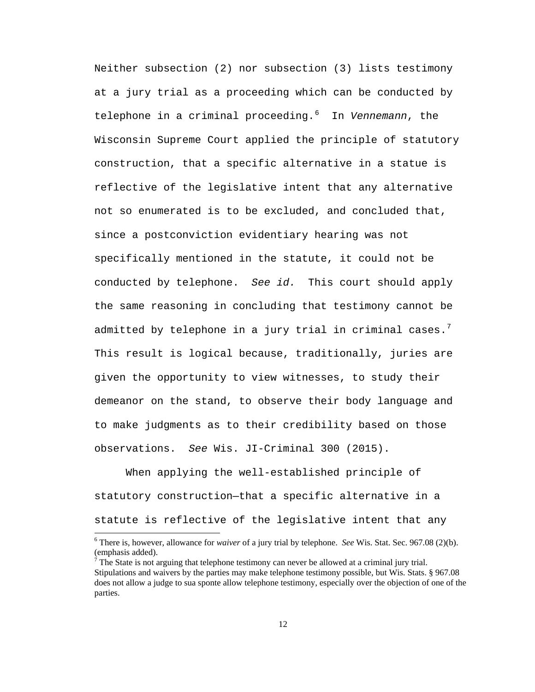Neither subsection (2) nor subsection (3) lists testimony at a jury trial as a proceeding which can be conducted by telephone in a criminal proceeding.[6](#page-16-0) In *Vennemann*, the Wisconsin Supreme Court applied the principle of statutory construction, that a specific alternative in a statue is reflective of the legislative intent that any alternative not so enumerated is to be excluded, and concluded that, since a postconviction evidentiary hearing was not specifically mentioned in the statute, it could not be conducted by telephone. *See id.* This court should apply the same reasoning in concluding that testimony cannot be admitted by telephone in a jury trial in criminal cases. $^7$  $^7$ This result is logical because, traditionally, juries are given the opportunity to view witnesses, to study their demeanor on the stand, to observe their body language and to make judgments as to their credibility based on those observations. *See* Wis. JI-Criminal 300 (2015).

When applying the well-established principle of statutory construction—that a specific alternative in a statute is reflective of the legislative intent that any

<span id="page-16-0"></span> <sup>6</sup> There is, however, allowance for *waiver* of a jury trial by telephone. *See* Wis. Stat. Sec. 967.08 (2)(b). (emphasis added).<br><sup>7</sup> The State is not arguing that telephone testimony can never be allowed at a criminal jury trial.

<span id="page-16-1"></span>Stipulations and waivers by the parties may make telephone testimony possible, but Wis. Stats. § 967.08 does not allow a judge to sua sponte allow telephone testimony, especially over the objection of one of the parties.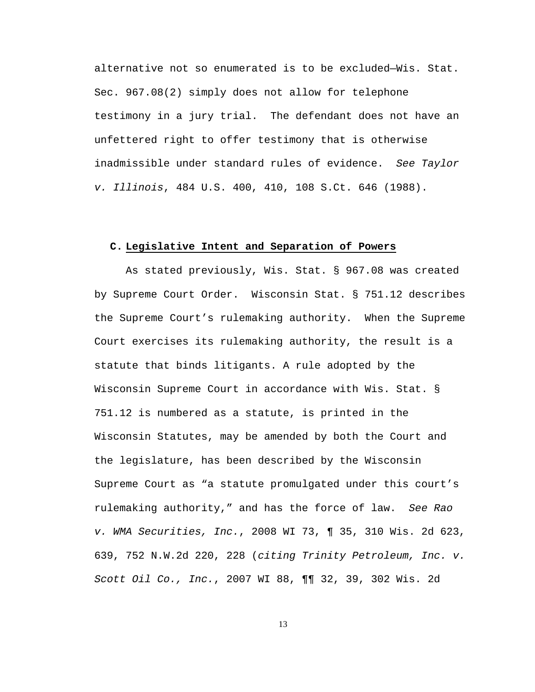alternative not so enumerated is to be excluded—Wis. Stat. Sec. 967.08(2) simply does not allow for telephone testimony in a jury trial. The defendant does not have an unfettered right to offer testimony that is otherwise inadmissible under standard rules of evidence. *See Taylor v. Illinois*, 484 U.S. 400, 410, 108 S.Ct. 646 (1988).

#### **C. Legislative Intent and Separation of Powers**

As stated previously, Wis. Stat. § 967.08 was created by Supreme Court Order. Wisconsin Stat. § 751.12 describes the Supreme Court's rulemaking authority. When the Supreme Court exercises its rulemaking authority, the result is a statute that binds litigants. A rule adopted by the Wisconsin Supreme Court in accordance with Wis. Stat. § 751.12 is numbered as a statute, is printed in the Wisconsin Statutes, may be amended by both the Court and the legislature, has been described by the Wisconsin Supreme Court as "a statute promulgated under this court's rulemaking authority," and has the force of law. *See Rao v. WMA Securities, Inc.*, 2008 WI 73, ¶ 35, 310 Wis. 2d 623, 639, 752 N.W.2d 220, 228 (*citing Trinity Petroleum, Inc. v. Scott Oil Co., Inc.*, 2007 WI 88, ¶¶ 32, 39, 302 Wis. 2d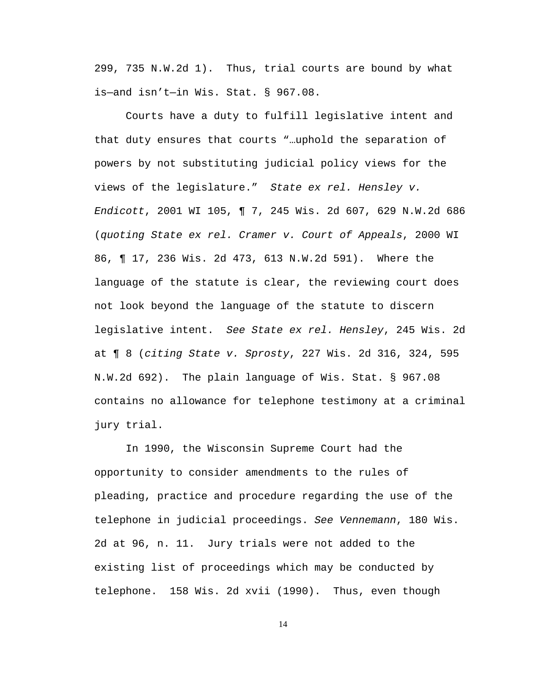299, 735 N.W.2d 1). Thus, trial courts are bound by what is—and isn't—in Wis. Stat. § 967.08.

Courts have a duty to fulfill legislative intent and that duty ensures that courts "…uphold the separation of powers by not substituting judicial policy views for the views of the legislature." *State ex rel. Hensley v. Endicott*, 2001 WI 105, ¶ 7, 245 Wis. 2d 607, 629 N.W.2d 686 (*quoting State ex rel. Cramer v. Court of Appeals*, 2000 WI 86, ¶ 17, 236 Wis. 2d 473, 613 N.W.2d 591). Where the language of the statute is clear, the reviewing court does not look beyond the language of the statute to discern legislative intent. *See State ex rel. Hensley*, 245 Wis. 2d at ¶ 8 (*citing State v. Sprosty*, 227 Wis. 2d 316, 324, 595 N.W.2d 692). The plain language of Wis. Stat. § 967.08 contains no allowance for telephone testimony at a criminal jury trial.

In 1990, the Wisconsin Supreme Court had the opportunity to consider amendments to the rules of pleading, practice and procedure regarding the use of the telephone in judicial proceedings. *See Vennemann*, 180 Wis. 2d at 96, n. 11. Jury trials were not added to the existing list of proceedings which may be conducted by telephone. 158 Wis. 2d xvii (1990). Thus, even though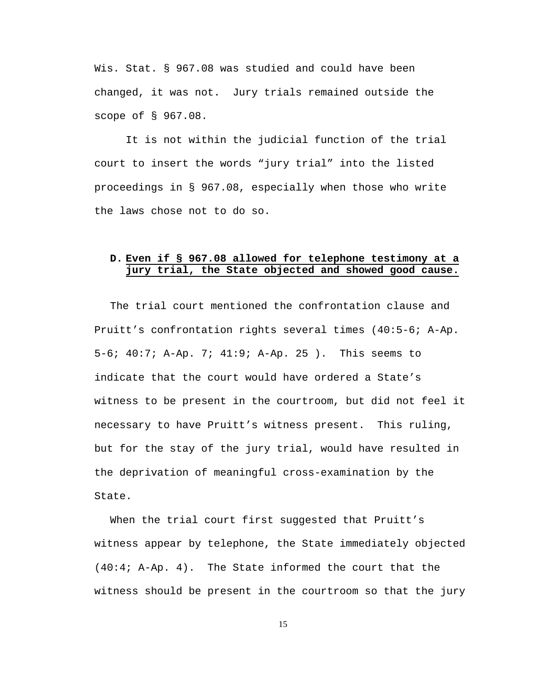Wis. Stat. § 967.08 was studied and could have been changed, it was not. Jury trials remained outside the scope of § 967.08.

It is not within the judicial function of the trial court to insert the words "jury trial" into the listed proceedings in § 967.08, especially when those who write the laws chose not to do so.

# **D. Even if § 967.08 allowed for telephone testimony at a jury trial, the State objected and showed good cause.**

The trial court mentioned the confrontation clause and Pruitt's confrontation rights several times (40:5-6; A-Ap. 5-6; 40:7; A-Ap. 7; 41:9; A-Ap. 25 ). This seems to indicate that the court would have ordered a State's witness to be present in the courtroom, but did not feel it necessary to have Pruitt's witness present. This ruling, but for the stay of the jury trial, would have resulted in the deprivation of meaningful cross-examination by the State.

When the trial court first suggested that Pruitt's witness appear by telephone, the State immediately objected (40:4; A-Ap. 4). The State informed the court that the witness should be present in the courtroom so that the jury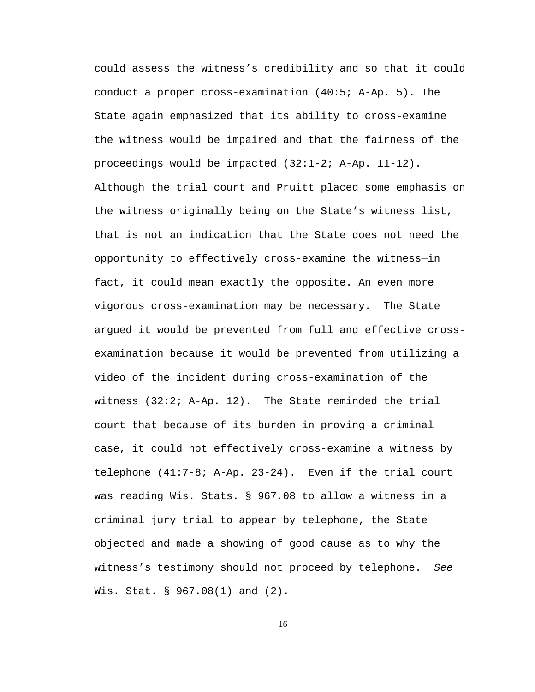could assess the witness's credibility and so that it could conduct a proper cross-examination (40:5; A-Ap. 5). The State again emphasized that its ability to cross-examine the witness would be impaired and that the fairness of the proceedings would be impacted (32:1-2; A-Ap. 11-12). Although the trial court and Pruitt placed some emphasis on the witness originally being on the State's witness list, that is not an indication that the State does not need the opportunity to effectively cross-examine the witness—in fact, it could mean exactly the opposite. An even more vigorous cross-examination may be necessary. The State argued it would be prevented from full and effective crossexamination because it would be prevented from utilizing a video of the incident during cross-examination of the witness (32:2; A-Ap. 12). The State reminded the trial court that because of its burden in proving a criminal case, it could not effectively cross-examine a witness by telephone (41:7-8; A-Ap. 23-24). Even if the trial court was reading Wis. Stats. § 967.08 to allow a witness in a criminal jury trial to appear by telephone, the State objected and made a showing of good cause as to why the witness's testimony should not proceed by telephone. *See* Wis. Stat. § 967.08(1) and (2).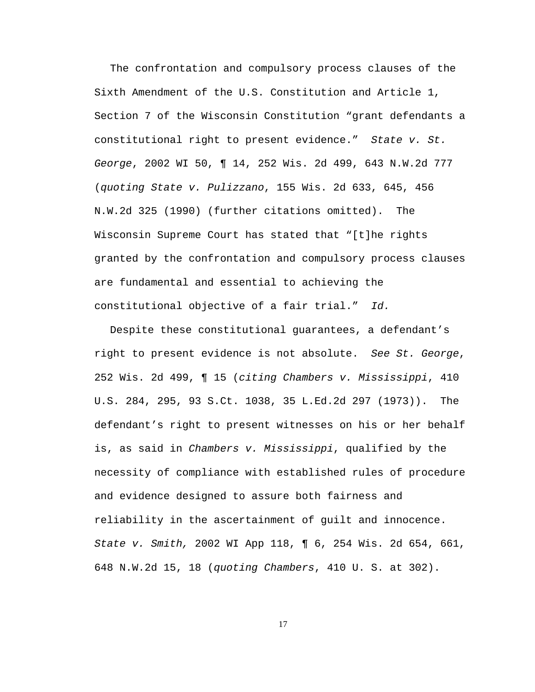The confrontation and compulsory process clauses of the Sixth Amendment of the U.S. Constitution and Article 1, Section 7 of the Wisconsin Constitution "grant defendants a constitutional right to present evidence." *State v. St. George*, 2002 WI 50, ¶ 14, 252 Wis. 2d 499, 643 N.W.2d 777 (*quoting State v. Pulizzano*, 155 Wis. 2d 633, 645, 456 N.W.2d 325 (1990) (further citations omitted). The Wisconsin Supreme Court has stated that "[t]he rights granted by the confrontation and compulsory process clauses are fundamental and essential to achieving the constitutional objective of a fair trial." *Id.*

Despite these constitutional guarantees, a defendant's right to present evidence is not absolute. *See St. George*, 252 Wis. 2d 499, ¶ 15 (*citing Chambers v. Mississippi*, 410 U.S. 284, 295, 93 S.Ct. 1038, 35 L.Ed.2d 297 (1973)). The defendant's right to present witnesses on his or her behalf is, as said in *Chambers v. Mississippi*, qualified by the necessity of compliance with established rules of procedure and evidence designed to assure both fairness and reliability in the ascertainment of guilt and innocence. *State v. Smith,* 2002 WI App 118, ¶ 6, 254 Wis. 2d 654, 661, 648 N.W.2d 15, 18 (*quoting Chambers*, 410 U. S. at 302).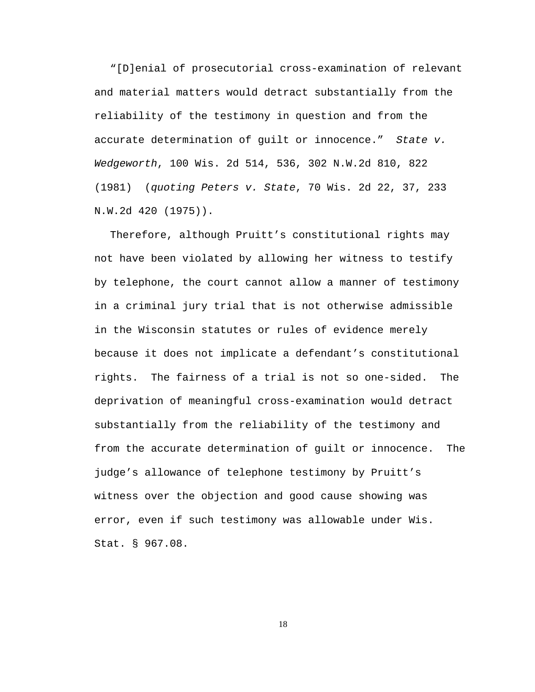"[D]enial of prosecutorial cross-examination of relevant and material matters would detract substantially from the reliability of the testimony in question and from the accurate determination of guilt or innocence." *State v. Wedgeworth*, 100 Wis. 2d 514, 536, 302 N.W.2d 810, 822 (1981) (*quoting Peters v. State*, 70 Wis. 2d 22, 37, 233 N.W.2d 420 (1975)).

Therefore, although Pruitt's constitutional rights may not have been violated by allowing her witness to testify by telephone, the court cannot allow a manner of testimony in a criminal jury trial that is not otherwise admissible in the Wisconsin statutes or rules of evidence merely because it does not implicate a defendant's constitutional rights. The fairness of a trial is not so one-sided. The deprivation of meaningful cross-examination would detract substantially from the reliability of the testimony and from the accurate determination of guilt or innocence. The judge's allowance of telephone testimony by Pruitt's witness over the objection and good cause showing was error, even if such testimony was allowable under Wis. Stat. § 967.08.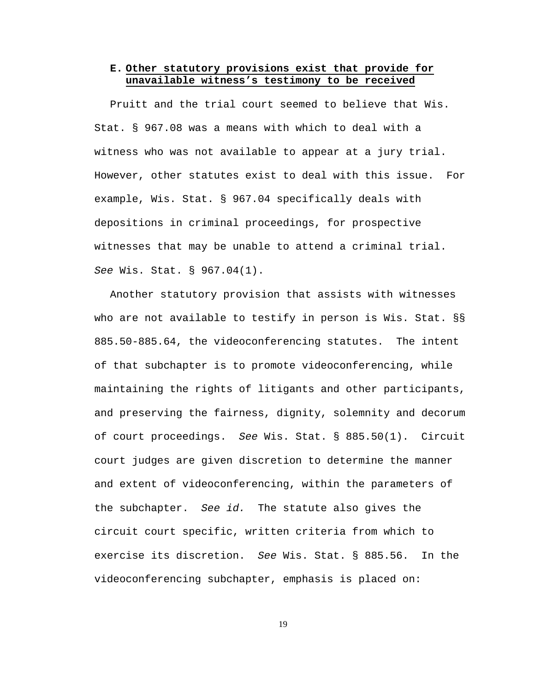# **E. Other statutory provisions exist that provide for unavailable witness's testimony to be received**

Pruitt and the trial court seemed to believe that Wis. Stat. § 967.08 was a means with which to deal with a witness who was not available to appear at a jury trial. However, other statutes exist to deal with this issue. For example, Wis. Stat. § 967.04 specifically deals with depositions in criminal proceedings, for prospective witnesses that may be unable to attend a criminal trial. *See* Wis. Stat. § 967.04(1).

Another statutory provision that assists with witnesses who are not available to testify in person is Wis. Stat. §§ 885.50-885.64, the videoconferencing statutes. The intent of that subchapter is to promote videoconferencing, while maintaining the rights of litigants and other participants, and preserving the fairness, dignity, solemnity and decorum of court proceedings. *See* Wis. Stat. § 885.50(1). Circuit court judges are given discretion to determine the manner and extent of videoconferencing, within the parameters of the subchapter. *See id.* The statute also gives the circuit court specific, written criteria from which to exercise its discretion. *See* Wis. Stat. § 885.56. In the videoconferencing subchapter, emphasis is placed on: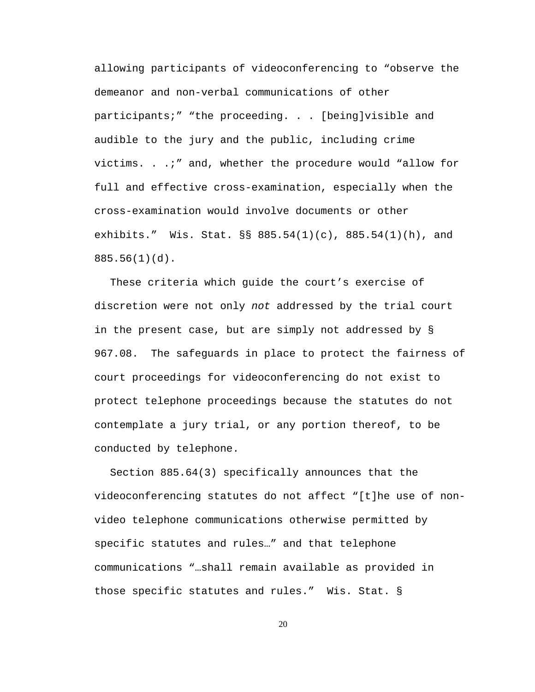allowing participants of videoconferencing to "observe the demeanor and non-verbal communications of other participants;" "the proceeding. . . [being]visible and audible to the jury and the public, including crime victims. . .;" and, whether the procedure would "allow for full and effective cross-examination, especially when the cross-examination would involve documents or other exhibits." Wis. Stat. §§ 885.54(1)(c), 885.54(1)(h), and 885.56(1)(d).

These criteria which guide the court's exercise of discretion were not only *not* addressed by the trial court in the present case, but are simply not addressed by § 967.08. The safeguards in place to protect the fairness of court proceedings for videoconferencing do not exist to protect telephone proceedings because the statutes do not contemplate a jury trial, or any portion thereof, to be conducted by telephone.

Section 885.64(3) specifically announces that the videoconferencing statutes do not affect "[t]he use of nonvideo telephone communications otherwise permitted by specific statutes and rules…" and that telephone communications "…shall remain available as provided in those specific statutes and rules." Wis. Stat. §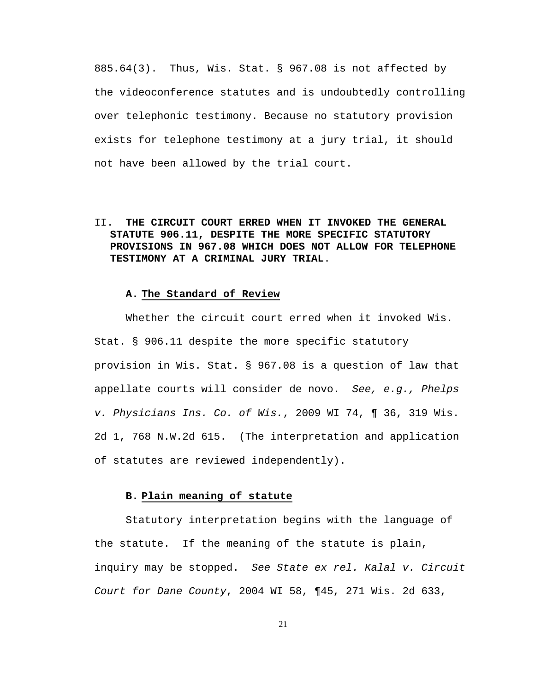885.64(3). Thus, Wis. Stat. § 967.08 is not affected by the videoconference statutes and is undoubtedly controlling over telephonic testimony. Because no statutory provision exists for telephone testimony at a jury trial, it should not have been allowed by the trial court.

II. **THE CIRCUIT COURT ERRED WHEN IT INVOKED THE GENERAL STATUTE 906.11, DESPITE THE MORE SPECIFIC STATUTORY PROVISIONS IN 967.08 WHICH DOES NOT ALLOW FOR TELEPHONE TESTIMONY AT A CRIMINAL JURY TRIAL**.

#### **A. The Standard of Review**

Whether the circuit court erred when it invoked Wis. Stat. § 906.11 despite the more specific statutory provision in Wis. Stat. § 967.08 is a question of law that appellate courts will consider de novo. *See, e.g., Phelps v. Physicians Ins. Co. of Wis.*, 2009 WI 74, ¶ 36, 319 Wis. 2d 1, 768 N.W.2d 615. (The interpretation and application of statutes are reviewed independently).

#### **B. Plain meaning of statute**

Statutory interpretation begins with the language of the statute. If the meaning of the statute is plain, inquiry may be stopped. *See State ex rel. Kalal v. Circuit Court for Dane County*, 2004 WI 58, ¶45, 271 Wis. 2d 633,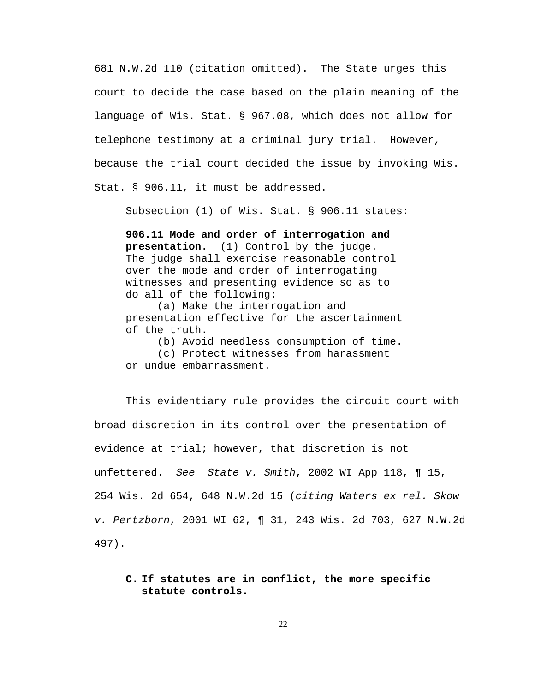681 N.W.2d 110 (citation omitted). The State urges this court to decide the case based on the plain meaning of the language of Wis. Stat. § 967.08, which does not allow for telephone testimony at a criminal jury trial. However, because the trial court decided the issue by invoking Wis. Stat. § 906.11, it must be addressed.

Subsection (1) of Wis. Stat. § 906.11 states:

**906.11 Mode and order of interrogation and presentation.** (1) Control by the judge. The judge shall exercise reasonable control over the mode and order of interrogating witnesses and presenting evidence so as to do all of the following:

(a) Make the interrogation and presentation effective for the ascertainment of the truth.

(b) Avoid needless consumption of time. (c) Protect witnesses from harassment or undue embarrassment.

This evidentiary rule provides the circuit court with broad discretion in its control over the presentation of evidence at trial; however, that discretion is not unfettered. *See State v. Smith*, 2002 WI App 118, ¶ 15, 254 Wis. 2d 654, 648 N.W.2d 15 (*citing Waters ex rel. Skow v. Pertzborn*, 2001 WI 62, ¶ 31, 243 Wis. 2d 703, 627 N.W.2d 497).

# **C. If statutes are in conflict, the more specific statute controls.**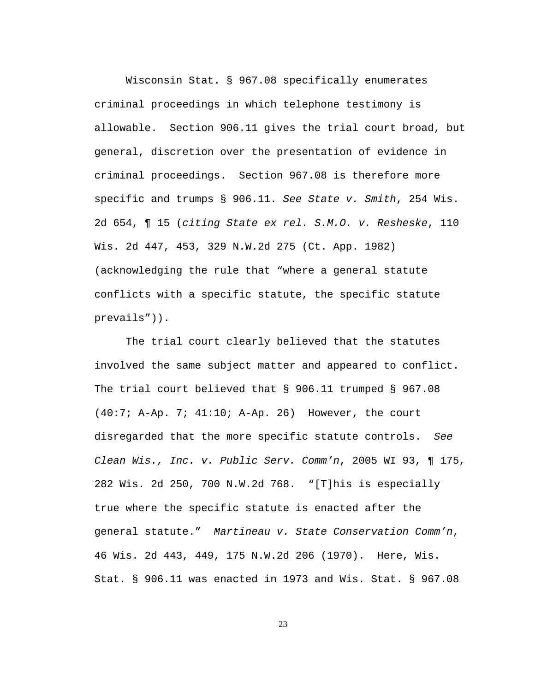Wisconsin Stat. § 967.08 specifically enumerates criminal proceedings in which telephone testimony is allowable. Section 906.11 gives the trial court broad, but general, discretion over the presentation of evidence in criminal proceedings. Section 967.08 is therefore more specific and trumps § 906.11. *See State v. Smith*, 254 Wis. 2d 654, ¶ 15 (*citing State ex rel. S.M.O. v. Resheske*, 110 Wis. 2d 447, 453, 329 N.W.2d 275 (Ct. App. 1982) (acknowledging the rule that "where a general statute conflicts with a specific statute, the specific statute prevails")).

The trial court clearly believed that the statutes involved the same subject matter and appeared to conflict. The trial court believed that § 906.11 trumped § 967.08 (40:7; A-Ap. 7; 41:10; A-Ap. 26) However, the court disregarded that the more specific statute controls. *See Clean Wis., Inc. v. Public Serv. Comm'n*, 2005 WI 93, ¶ 175, 282 Wis. 2d 250, 700 N.W.2d 768. "[T]his is especially true where the specific statute is enacted after the general statute." *Martineau v. State Conservation Comm'n*, 46 Wis. 2d 443, 449, 175 N.W.2d 206 (1970). Here, Wis. Stat. § 906.11 was enacted in 1973 and Wis. Stat. § 967.08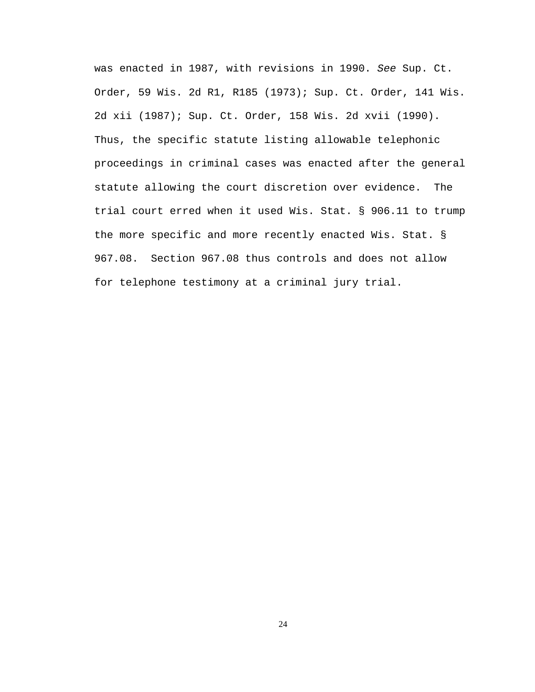was enacted in 1987, with revisions in 1990. *See* Sup. Ct. Order, 59 Wis. 2d R1, R185 (1973); Sup. Ct. Order, 141 Wis. 2d xii (1987); Sup. Ct. Order, 158 Wis. 2d xvii (1990). Thus, the specific statute listing allowable telephonic proceedings in criminal cases was enacted after the general statute allowing the court discretion over evidence. The trial court erred when it used Wis. Stat. § 906.11 to trump the more specific and more recently enacted Wis. Stat. § 967.08. Section 967.08 thus controls and does not allow for telephone testimony at a criminal jury trial.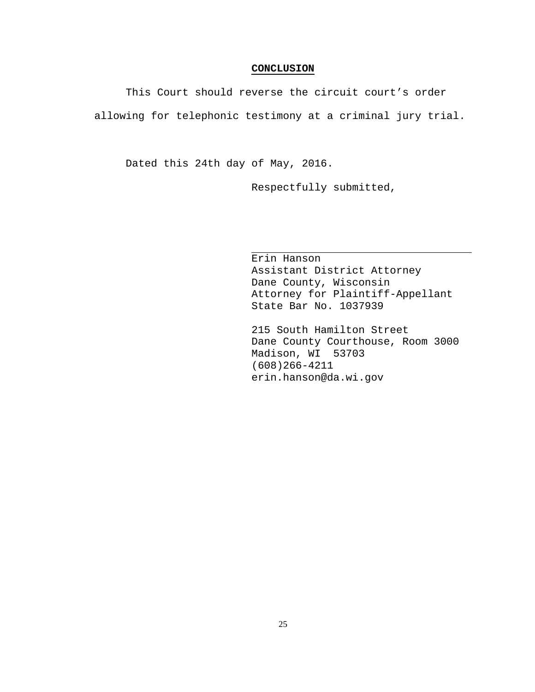#### **CONCLUSION**

This Court should reverse the circuit court's order allowing for telephonic testimony at a criminal jury trial.

Dated this 24th day of May, 2016.

Respectfully submitted,

Erin Hanson Assistant District Attorney Dane County, Wisconsin Attorney for Plaintiff-Appellant State Bar No. 1037939

215 South Hamilton Street Dane County Courthouse, Room 3000 Madison, WI 53703 (608)266-4211 erin.hanson@da.wi.gov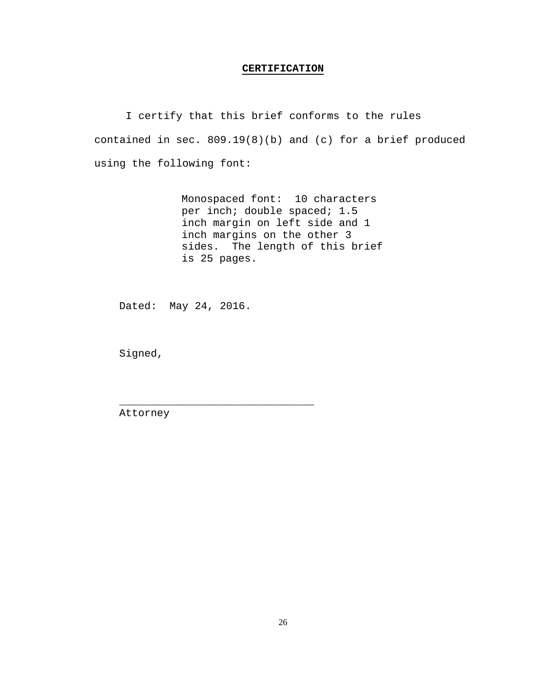#### **CERTIFICATION**

I certify that this brief conforms to the rules contained in sec. 809.19(8)(b) and (c) for a brief produced using the following font:

> Monospaced font: 10 characters per inch; double spaced; 1.5 inch margin on left side and 1 inch margins on the other 3 sides. The length of this brief is 25 pages.

Dated: May 24, 2016.

\_\_\_\_\_\_\_\_\_\_\_\_\_\_\_\_\_\_\_\_\_\_\_\_\_\_\_\_\_\_\_

Signed,

Attorney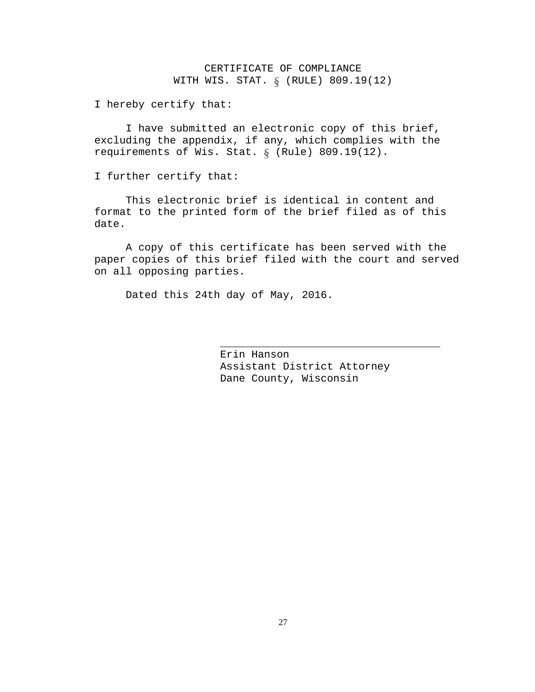# CERTIFICATE OF COMPLIANCE WITH WIS. STAT. § (RULE) 809.19(12)

I hereby certify that:

I have submitted an electronic copy of this brief, excluding the appendix, if any, which complies with the requirements of Wis. Stat. § (Rule) 809.19(12).

I further certify that:

This electronic brief is identical in content and format to the printed form of the brief filed as of this date.

A copy of this certificate has been served with the paper copies of this brief filed with the court and served on all opposing parties.

Dated this 24th day of May, 2016.

Erin Hanson Assistant District Attorney Dane County, Wisconsin

\_\_\_\_\_\_\_\_\_\_\_\_\_\_\_\_\_\_\_\_\_\_\_\_\_\_\_\_\_\_\_\_\_\_\_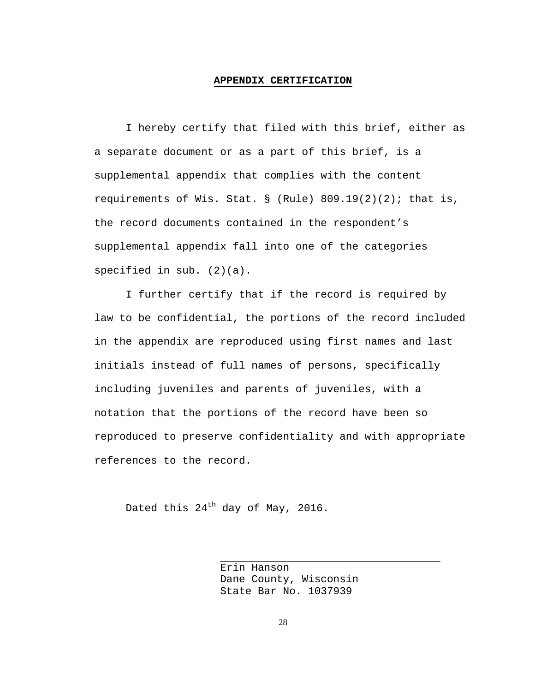#### **APPENDIX CERTIFICATION**

I hereby certify that filed with this brief, either as a separate document or as a part of this brief, is a supplemental appendix that complies with the content requirements of Wis. Stat.  $\S$  (Rule) 809.19(2)(2); that is, the record documents contained in the respondent's supplemental appendix fall into one of the categories specified in sub. (2)(a).

I further certify that if the record is required by law to be confidential, the portions of the record included in the appendix are reproduced using first names and last initials instead of full names of persons, specifically including juveniles and parents of juveniles, with a notation that the portions of the record have been so reproduced to preserve confidentiality and with appropriate references to the record.

Dated this  $24^{th}$  day of May, 2016.

Erin Hanson Dane County, Wisconsin State Bar No. 1037939